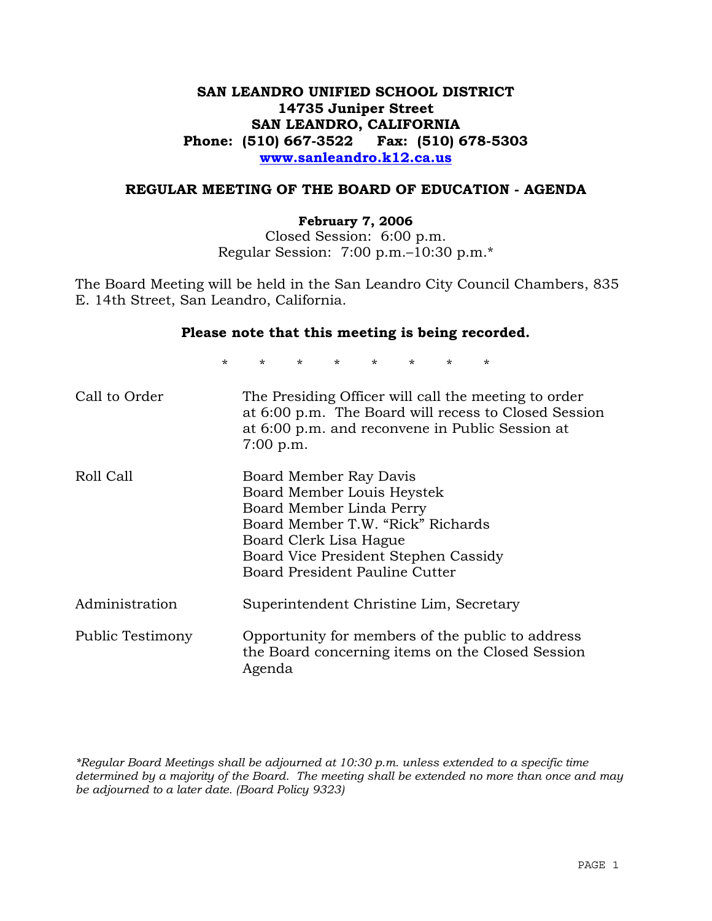# **SAN LEANDRO UNIFIED SCHOOL DISTRICT 14735 Juniper Street SAN LEANDRO, CALIFORNIA Phone: (510) 667-3522 Fax: (510) 678-5303 www.sanleandro.k12.ca.us**

# **REGULAR MEETING OF THE BOARD OF EDUCATION - AGENDA**

#### **February 7, 2006**

Closed Session: 6:00 p.m. Regular Session: 7:00 p.m.–10:30 p.m.\*

The Board Meeting will be held in the San Leandro City Council Chambers, 835 E. 14th Street, San Leandro, California.

#### **Please note that this meeting is being recorded.**

\* \* \* \* \* \* \* \* Call to Order The Presiding Officer will call the meeting to order at 6:00 p.m. The Board will recess to Closed Session at 6:00 p.m. and reconvene in Public Session at 7:00 p.m. Roll Call Board Member Ray Davis Board Member Louis Heystek Board Member Linda Perry Board Member T.W. "Rick" Richards Board Clerk Lisa Hague Board Vice President Stephen Cassidy Board President Pauline Cutter Administration Superintendent Christine Lim, Secretary Public Testimony Opportunity for members of the public to address the Board concerning items on the Closed Session Agenda

*\*Regular Board Meetings shall be adjourned at 10:30 p.m. unless extended to a specific time determined by a majority of the Board. The meeting shall be extended no more than once and may be adjourned to a later date. (Board Policy 9323)*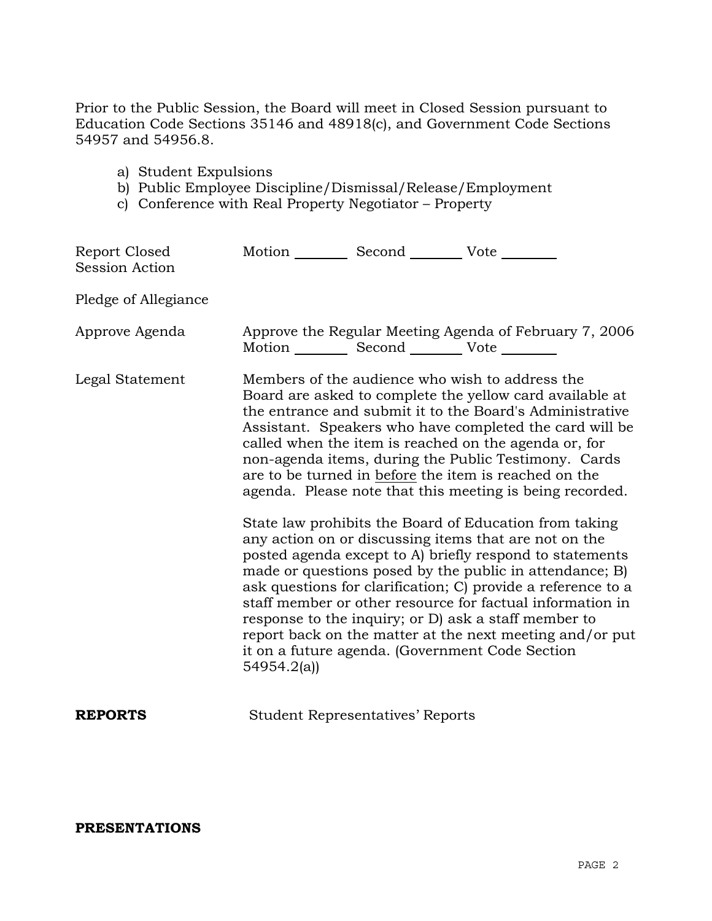Prior to the Public Session, the Board will meet in Closed Session pursuant to Education Code Sections 35146 and 48918(c), and Government Code Sections 54957 and 54956.8.

- a) Student Expulsions
- b) Public Employee Discipline/Dismissal/Release/Employment
- c) Conference with Real Property Negotiator Property

| Report Closed<br><b>Session Action</b> | Motion Second Vote                                                                                               |                                                                                                                                                                                                                                                                                                                                                                                                                                                                                                                                                                                                                                                                                                                                                                                                                                                                                                                  |
|----------------------------------------|------------------------------------------------------------------------------------------------------------------|------------------------------------------------------------------------------------------------------------------------------------------------------------------------------------------------------------------------------------------------------------------------------------------------------------------------------------------------------------------------------------------------------------------------------------------------------------------------------------------------------------------------------------------------------------------------------------------------------------------------------------------------------------------------------------------------------------------------------------------------------------------------------------------------------------------------------------------------------------------------------------------------------------------|
| Pledge of Allegiance                   |                                                                                                                  |                                                                                                                                                                                                                                                                                                                                                                                                                                                                                                                                                                                                                                                                                                                                                                                                                                                                                                                  |
| Approve Agenda                         | Motion ___________ Second _____________ Vote _________                                                           | Approve the Regular Meeting Agenda of February 7, 2006                                                                                                                                                                                                                                                                                                                                                                                                                                                                                                                                                                                                                                                                                                                                                                                                                                                           |
| Legal Statement                        | Members of the audience who wish to address the<br>it on a future agenda. (Government Code Section<br>54954.2(a) | Board are asked to complete the yellow card available at<br>the entrance and submit it to the Board's Administrative<br>Assistant. Speakers who have completed the card will be<br>called when the item is reached on the agenda or, for<br>non-agenda items, during the Public Testimony. Cards<br>are to be turned in before the item is reached on the<br>agenda. Please note that this meeting is being recorded.<br>State law prohibits the Board of Education from taking<br>any action on or discussing items that are not on the<br>posted agenda except to A) briefly respond to statements<br>made or questions posed by the public in attendance; B)<br>ask questions for clarification; C) provide a reference to a<br>staff member or other resource for factual information in<br>response to the inquiry; or D) ask a staff member to<br>report back on the matter at the next meeting and/or put |
| <b>REPORTS</b>                         | <b>Student Representatives' Reports</b>                                                                          |                                                                                                                                                                                                                                                                                                                                                                                                                                                                                                                                                                                                                                                                                                                                                                                                                                                                                                                  |

# **PRESENTATIONS**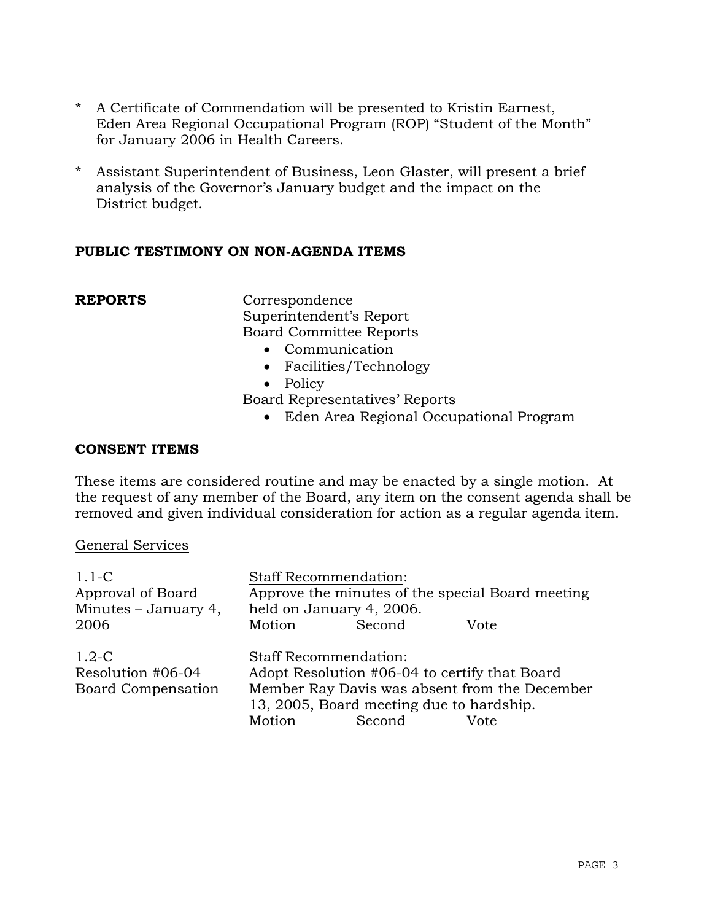- \* A Certificate of Commendation will be presented to Kristin Earnest, Eden Area Regional Occupational Program (ROP) "Student of the Month" for January 2006 in Health Careers.
- \* Assistant Superintendent of Business, Leon Glaster, will present a brief analysis of the Governor's January budget and the impact on the District budget.

# **PUBLIC TESTIMONY ON NON-AGENDA ITEMS**

**REPORTS** Correspondence Superintendent's Report Board Committee Reports

- Communication
- Facilities/Technology
- Policy
- Board Representatives' Reports
	- Eden Area Regional Occupational Program

## **CONSENT ITEMS**

These items are considered routine and may be enacted by a single motion. At the request of any member of the Board, any item on the consent agenda shall be removed and given individual consideration for action as a regular agenda item.

#### General Services

| $1.1-C$<br>Approval of Board<br>Minutes $-$ January 4,    | <b>Staff Recommendation:</b><br>Approve the minutes of the special Board meeting<br>held on January 4, 2006.                                                                                        |
|-----------------------------------------------------------|-----------------------------------------------------------------------------------------------------------------------------------------------------------------------------------------------------|
| 2006                                                      | Motion Second<br>Vote                                                                                                                                                                               |
| $1.2-C$<br>Resolution #06-04<br><b>Board Compensation</b> | <b>Staff Recommendation:</b><br>Adopt Resolution #06-04 to certify that Board<br>Member Ray Davis was absent from the December<br>13, 2005, Board meeting due to hardship.<br>Motion Second<br>Vote |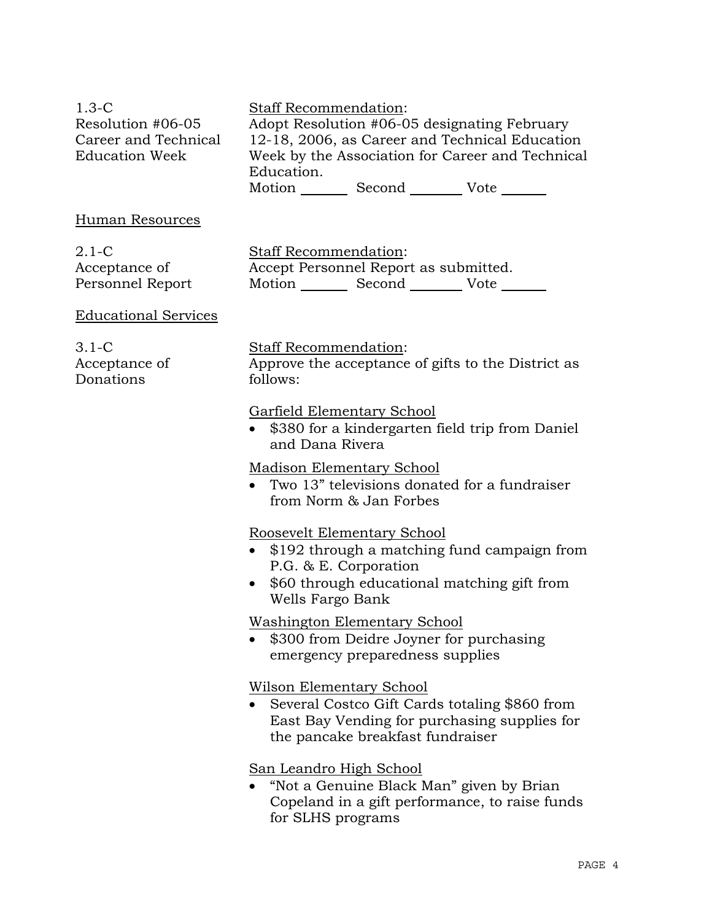| $1.3 - C$            | <b>Staff Recommendation:</b>                     |
|----------------------|--------------------------------------------------|
| Resolution #06-05    | Adopt Resolution #06-05 designating February     |
| Career and Technical | 12-18, 2006, as Career and Technical Education   |
| Education Week       | Week by the Association for Career and Technical |
|                      | Education.                                       |

Motion Second Vote

## Human Resources

2.1-C Acceptance of Personnel Report Staff Recommendation: Accept Personnel Report as submitted. Motion Second Vote

### Educational Services

3.1-C Acceptance of Donations

### Staff Recommendation:

Approve the acceptance of gifts to the District as follows:

### Garfield Elementary School

• \$380 for a kindergarten field trip from Daniel and Dana Rivera

# Madison Elementary School

• Two 13" televisions donated for a fundraiser from Norm & Jan Forbes

# Roosevelt Elementary School

- \$192 through a matching fund campaign from P.G. & E. Corporation
- \$60 through educational matching gift from Wells Fargo Bank

# Washington Elementary School

• \$300 from Deidre Joyner for purchasing emergency preparedness supplies

# Wilson Elementary School

• Several Costco Gift Cards totaling \$860 from East Bay Vending for purchasing supplies for the pancake breakfast fundraiser

# San Leandro High School

• "Not a Genuine Black Man" given by Brian Copeland in a gift performance, to raise funds for SLHS programs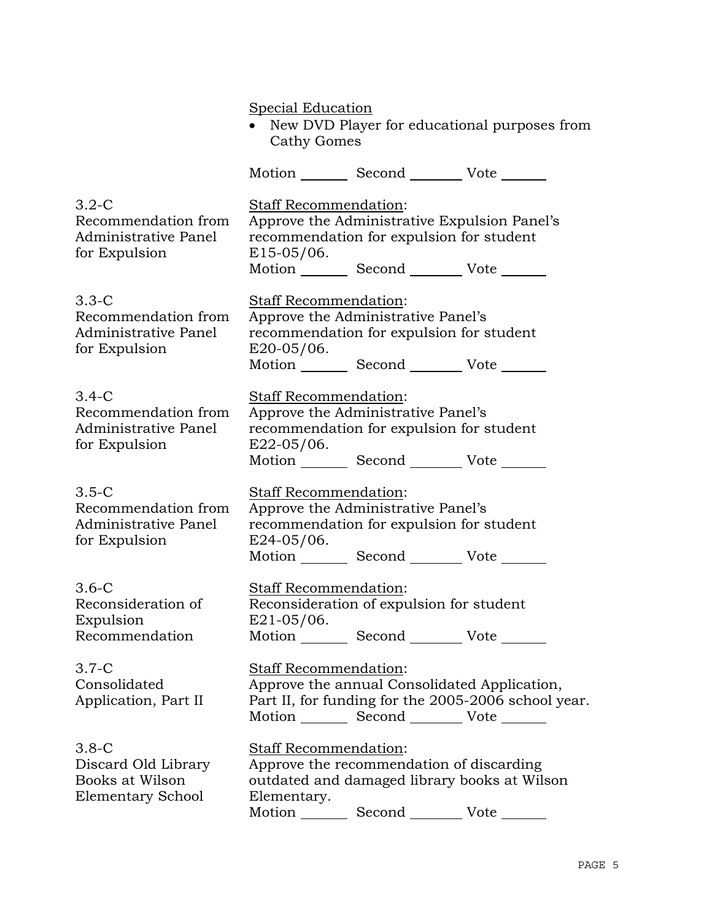Special Education • New DVD Player for educational purposes from Cathy Gomes Motion Second Vote 3.2-C Recommendation from Administrative Panel for Expulsion Staff Recommendation: Approve the Administrative Expulsion Panel's recommendation for expulsion for student E15-05/06. Motion \_\_\_\_\_\_\_\_\_ Second \_\_\_\_\_\_\_\_\_\_ Vote \_\_\_\_ 3.3-C Recommendation from Administrative Panel for Expulsion Staff Recommendation: Approve the Administrative Panel's recommendation for expulsion for student E20-05/06. Motion Second Vote 3.4-C Recommendation from Administrative Panel for Expulsion Staff Recommendation: Approve the Administrative Panel's recommendation for expulsion for student E22-05/06. Motion Second Vote 3.5-C Recommendation from Administrative Panel for Expulsion Staff Recommendation: Approve the Administrative Panel's recommendation for expulsion for student  $E$ 24-05/06. Motion Second Vote 3.6-C Reconsideration of Expulsion Recommendation Staff Recommendation: Reconsideration of expulsion for student E21-05/06. Motion Second Vote 3.7-C Consolidated Application, Part II Staff Recommendation: Approve the annual Consolidated Application, Part II, for funding for the 2005-2006 school year. Motion Second Vote 3.8-C Discard Old Library Books at Wilson Elementary School Staff Recommendation: Approve the recommendation of discarding outdated and damaged library books at Wilson Elementary. Motion Second Vote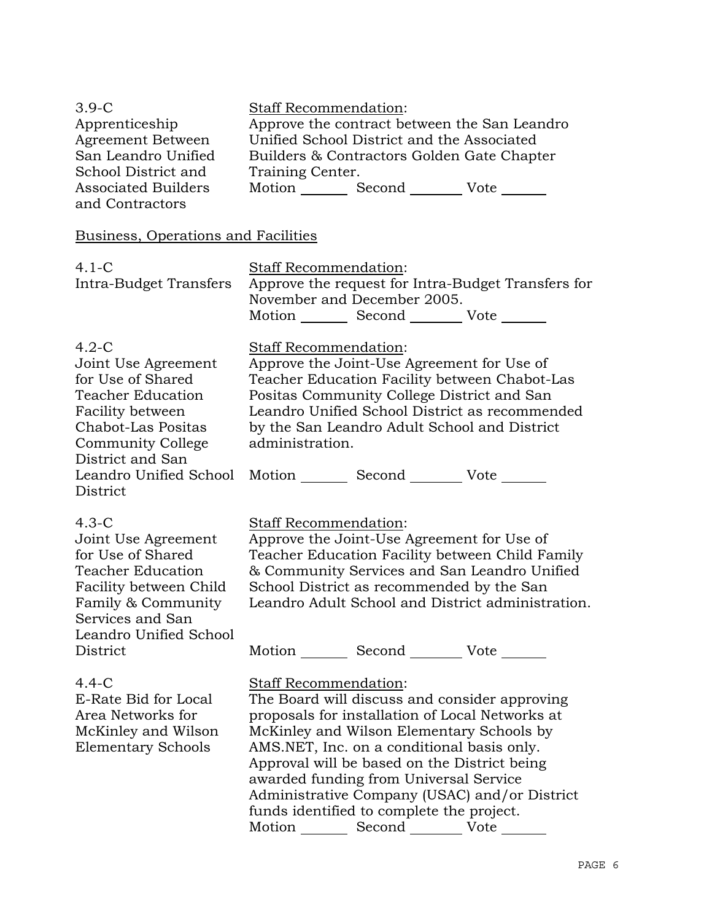| $3.9-C$<br>Apprenticeship<br>Agreement Between<br>San Leandro Unified<br>School District and<br><b>Associated Builders</b><br>and Contractors                                                                          | Staff Recommendation:<br>Approve the contract between the San Leandro<br>Unified School District and the Associated<br>Builders & Contractors Golden Gate Chapter<br>Training Center.<br>Motion _________ Second __________ Vote _______                                                                                                                                                                                                                               |
|------------------------------------------------------------------------------------------------------------------------------------------------------------------------------------------------------------------------|------------------------------------------------------------------------------------------------------------------------------------------------------------------------------------------------------------------------------------------------------------------------------------------------------------------------------------------------------------------------------------------------------------------------------------------------------------------------|
| Business, Operations and Facilities                                                                                                                                                                                    |                                                                                                                                                                                                                                                                                                                                                                                                                                                                        |
| $4.1-C$<br>Intra-Budget Transfers                                                                                                                                                                                      | Staff Recommendation:<br>Approve the request for Intra-Budget Transfers for<br>November and December 2005.<br>Motion _________ Second __________ Vote _______                                                                                                                                                                                                                                                                                                          |
| $4.2-C$<br>Joint Use Agreement<br>for Use of Shared<br><b>Teacher Education</b><br>Facility between<br><b>Chabot-Las Positas</b><br><b>Community College</b><br>District and San<br>Leandro Unified School<br>District | <u>Staff Recommendation:</u><br>Approve the Joint-Use Agreement for Use of<br>Teacher Education Facility between Chabot-Las<br>Positas Community College District and San<br>Leandro Unified School District as recommended<br>by the San Leandro Adult School and District<br>administration.<br>Motion Second Vote                                                                                                                                                   |
| $4.3-C$<br>Joint Use Agreement<br>for Use of Shared<br><b>Teacher Education</b><br>Facility between Child<br>Family & Community<br>Services and San<br>Leandro Unified School<br>District                              | <u>Staff Recommendation:</u><br>Approve the Joint-Use Agreement for Use of<br>Teacher Education Facility between Child Family<br>& Community Services and San Leandro Unified<br>School District as recommended by the San<br>Leandro Adult School and District administration.<br>Motion Second Vote                                                                                                                                                                  |
| $4.4 - C$<br>E-Rate Bid for Local<br>Area Networks for<br>McKinley and Wilson<br><b>Elementary Schools</b>                                                                                                             | <b>Staff Recommendation:</b><br>The Board will discuss and consider approving<br>proposals for installation of Local Networks at<br>McKinley and Wilson Elementary Schools by<br>AMS.NET, Inc. on a conditional basis only.<br>Approval will be based on the District being<br>awarded funding from Universal Service<br>Administrative Company (USAC) and/or District<br>funds identified to complete the project.<br>Motion _________ Second __________ Vote _______ |